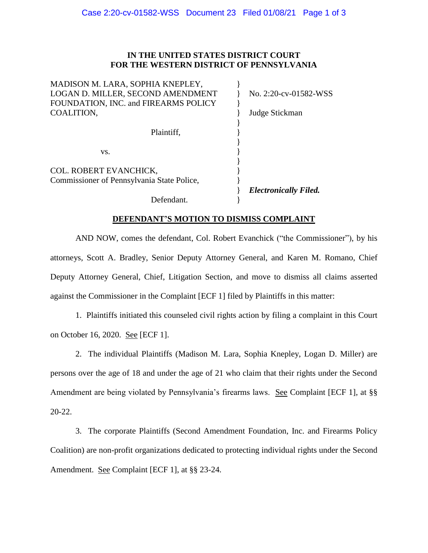## **IN THE UNITED STATES DISTRICT COURT FOR THE WESTERN DISTRICT OF PENNSYLVANIA**

| Defendant.                                                                              |                                         |
|-----------------------------------------------------------------------------------------|-----------------------------------------|
| COL. ROBERT EVANCHICK,<br>Commissioner of Pennsylvania State Police,                    | <b>Electronically Filed.</b>            |
| Plaintiff,<br>VS.                                                                       |                                         |
| LOGAN D. MILLER, SECOND AMENDMENT<br>FOUNDATION, INC. and FIREARMS POLICY<br>COALITION, | No. 2:20-cv-01582-WSS<br>Judge Stickman |
| MADISON M. LARA, SOPHIA KNEPLEY,                                                        |                                         |

## **DEFENDANT'S MOTION TO DISMISS COMPLAINT**

AND NOW, comes the defendant, Col. Robert Evanchick ("the Commissioner"), by his attorneys, Scott A. Bradley, Senior Deputy Attorney General, and Karen M. Romano, Chief Deputy Attorney General, Chief, Litigation Section, and move to dismiss all claims asserted against the Commissioner in the Complaint [ECF 1] filed by Plaintiffs in this matter:

1. Plaintiffs initiated this counseled civil rights action by filing a complaint in this Court on October 16, 2020. See [ECF 1].

2. The individual Plaintiffs (Madison M. Lara, Sophia Knepley, Logan D. Miller) are persons over the age of 18 and under the age of 21 who claim that their rights under the Second Amendment are being violated by Pennsylvania's firearms laws. See Complaint [ECF 1], at §§ 20-22.

3. The corporate Plaintiffs (Second Amendment Foundation, Inc. and Firearms Policy Coalition) are non-profit organizations dedicated to protecting individual rights under the Second Amendment. See Complaint [ECF 1], at §§ 23-24.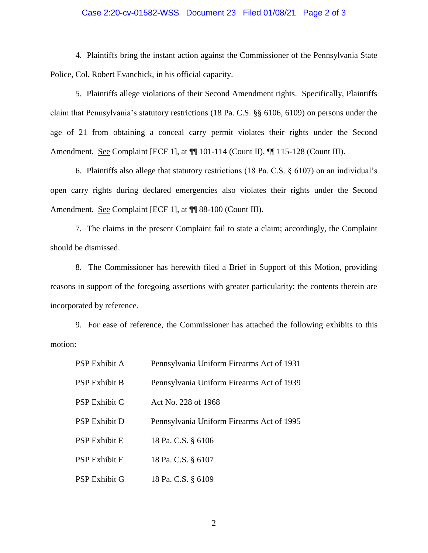## Case 2:20-cv-01582-WSS Document 23 Filed 01/08/21 Page 2 of 3

4. Plaintiffs bring the instant action against the Commissioner of the Pennsylvania State Police, Col. Robert Evanchick, in his official capacity.

5. Plaintiffs allege violations of their Second Amendment rights. Specifically, Plaintiffs claim that Pennsylvania's statutory restrictions (18 Pa. C.S. §§ 6106, 6109) on persons under the age of 21 from obtaining a conceal carry permit violates their rights under the Second Amendment. See Complaint [ECF 1], at ¶¶ 101-114 (Count II), ¶¶ 115-128 (Count III).

6. Plaintiffs also allege that statutory restrictions (18 Pa. C.S. § 6107) on an individual's open carry rights during declared emergencies also violates their rights under the Second Amendment. See Complaint [ECF 1], at  $\P$  88-100 (Count III).

7. The claims in the present Complaint fail to state a claim; accordingly, the Complaint should be dismissed.

8. The Commissioner has herewith filed a Brief in Support of this Motion, providing reasons in support of the foregoing assertions with greater particularity; the contents therein are incorporated by reference.

9. For ease of reference, the Commissioner has attached the following exhibits to this motion:

| <b>PSP Exhibit A</b> | Pennsylvania Uniform Firearms Act of 1931 |
|----------------------|-------------------------------------------|
| <b>PSP Exhibit B</b> | Pennsylvania Uniform Firearms Act of 1939 |
| <b>PSP Exhibit C</b> | Act No. 228 of 1968                       |
| <b>PSP Exhibit D</b> | Pennsylvania Uniform Firearms Act of 1995 |
| <b>PSP Exhibit E</b> | 18 Pa. C.S. § 6106                        |
| <b>PSP Exhibit F</b> | 18 Pa. C.S. § 6107                        |
| <b>PSP Exhibit G</b> | 18 Pa. C.S. § 6109                        |